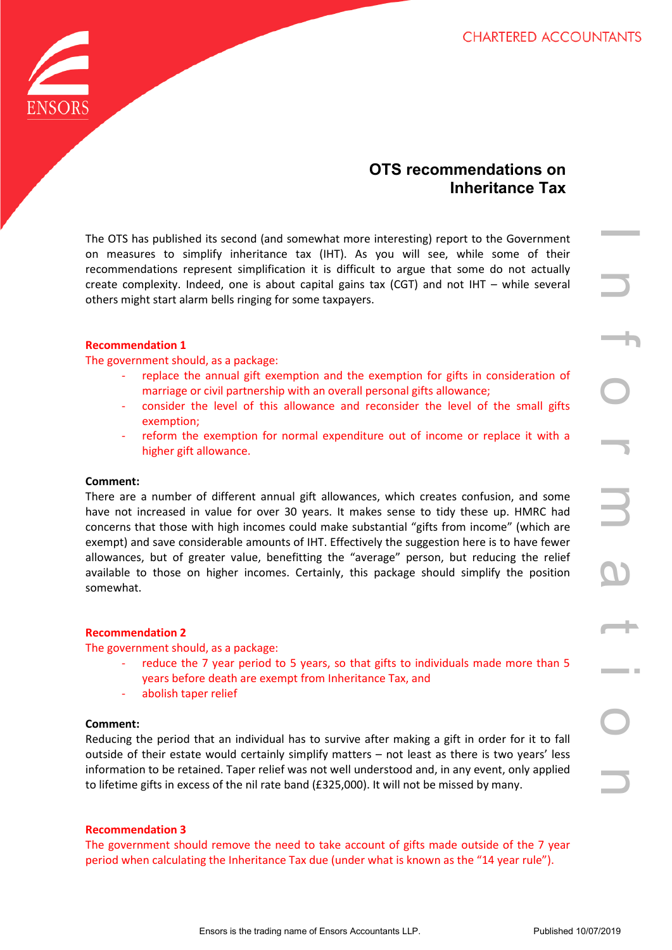

# **OTS recommendations on Inheritance Tax**

The OTS has published its second (and somewhat more interesting) report to the Government on measures to simplify inheritance tax (IHT). As you will see, while some of their recommendations represent simplification it is difficult to argue that some do not actually create complexity. Indeed, one is about capital gains tax (CGT) and not IHT – while several others might start alarm bells ringing for some taxpayers.

# **Recommendation 1**

The government should, as a package:

- replace the annual gift exemption and the exemption for gifts in consideration of marriage or civil partnership with an overall personal gifts allowance;
- consider the level of this allowance and reconsider the level of the small gifts exemption;
- reform the exemption for normal expenditure out of income or replace it with a higher gift allowance.

# **Comment:**

It is second (and somewhat more liniteresting) report to the Government<br>reserves the simplification it is diffure to agge that some do not actually<br>the the trading name of the diffure to agge that some do not actually<br>the There are a number of different annual gift allowances, which creates confusion, and some have not increased in value for over 30 years. It makes sense to tidy these up. HMRC had concerns that those with high incomes could make substantial "gifts from income" (which are exempt) and save considerable amounts of IHT. Effectively the suggestion here is to have fewer allowances, but of greater value, benefitting the "average" person, but reducing the relief available to those on higher incomes. Certainly, this package should simplify the position somewhat.

# **Recommendation 2**

The government should, as a package:

- reduce the 7 year period to 5 years, so that gifts to individuals made more than 5 years before death are exempt from Inheritance Tax, and
- abolish taper relief

# **Comment:**

Reducing the period that an individual has to survive after making a gift in order for it to fall outside of their estate would certainly simplify matters – not least as there is two years' less information to be retained. Taper relief was not well understood and, in any event, only applied to lifetime gifts in excess of the nil rate band (£325,000). It will not be missed by many.

# **Recommendation 3**

The government should remove the need to take account of gifts made outside of the 7 year period when calculating the Inheritance Tax due (under what is known as the "14 year rule").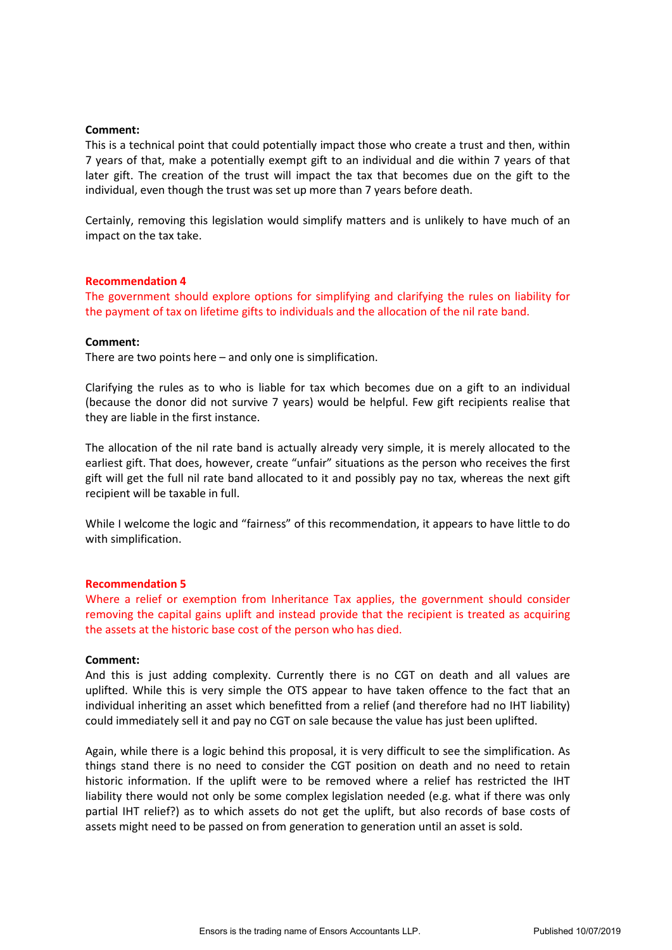## **Comment:**

This is a technical point that could potentially impact those who create a trust and then, within 7 years of that, make a potentially exempt gift to an individual and die within 7 years of that later gift. The creation of the trust will impact the tax that becomes due on the gift to the individual, even though the trust was set up more than 7 years before death.

Certainly, removing this legislation would simplify matters and is unlikely to have much of an impact on the tax take.

#### **Recommendation 4**

The government should explore options for simplifying and clarifying the rules on liability for the payment of tax on lifetime gifts to individuals and the allocation of the nil rate band.

#### **Comment:**

There are two points here – and only one is simplification.

Clarifying the rules as to who is liable for tax which becomes due on a gift to an individual (because the donor did not survive 7 years) would be helpful. Few gift recipients realise that they are liable in the first instance.

The allocation of the nil rate band is actually already very simple, it is merely allocated to the earliest gift. That does, however, create "unfair" situations as the person who receives the first gift will get the full nil rate band allocated to it and possibly pay no tax, whereas the next gift recipient will be taxable in full.

While I welcome the logic and "fairness" of this recommendation, it appears to have little to do with simplification.

## **Recommendation 5**

Where a relief or exemption from Inheritance Tax applies, the government should consider removing the capital gains uplift and instead provide that the recipient is treated as acquiring the assets at the historic base cost of the person who has died.

#### **Comment:**

And this is just adding complexity. Currently there is no CGT on death and all values are uplifted. While this is very simple the OTS appear to have taken offence to the fact that an individual inheriting an asset which benefitted from a relief (and therefore had no IHT liability) could immediately sell it and pay no CGT on sale because the value has just been uplifted.

Again, while there is a logic behind this proposal, it is very difficult to see the simplification. As things stand there is no need to consider the CGT position on death and no need to retain historic information. If the uplift were to be removed where a relief has restricted the IHT liability there would not only be some complex legislation needed (e.g. what if there was only partial IHT relief?) as to which assets do not get the uplift, but also records of base costs of assets might need to be passed on from generation to generation until an asset is sold.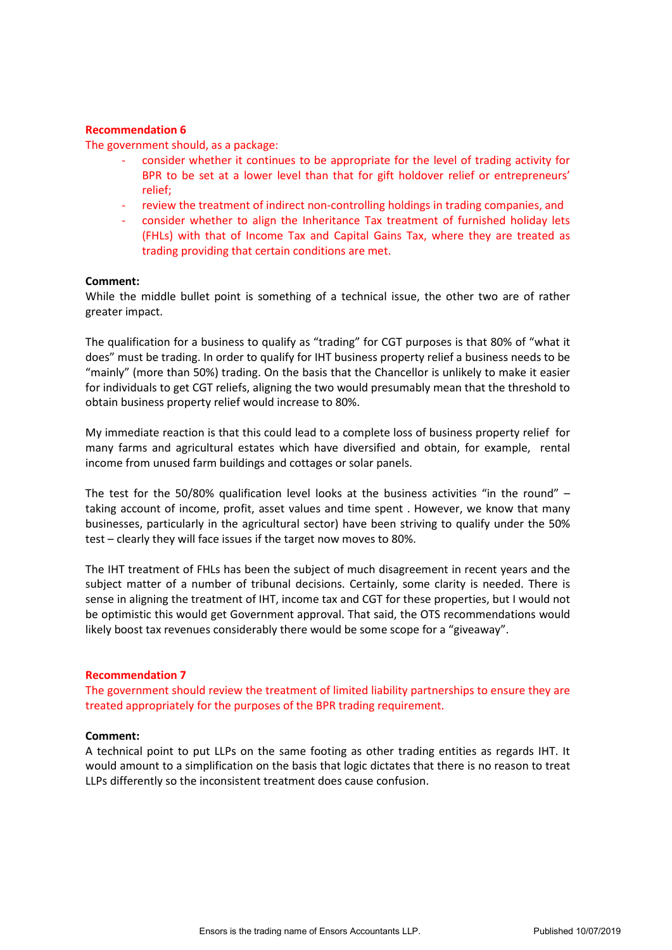## **Recommendation 6**

The government should, as a package:

- consider whether it continues to be appropriate for the level of trading activity for BPR to be set at a lower level than that for gift holdover relief or entrepreneurs' relief;
- review the treatment of indirect non-controlling holdings in trading companies, and
- consider whether to align the Inheritance Tax treatment of furnished holiday lets (FHLs) with that of Income Tax and Capital Gains Tax, where they are treated as trading providing that certain conditions are met.

## **Comment:**

While the middle bullet point is something of a technical issue, the other two are of rather greater impact.

The qualification for a business to qualify as "trading" for CGT purposes is that 80% of "what it does" must be trading. In order to qualify for IHT business property relief a business needs to be "mainly" (more than 50%) trading. On the basis that the Chancellor is unlikely to make it easier for individuals to get CGT reliefs, aligning the two would presumably mean that the threshold to obtain business property relief would increase to 80%.

My immediate reaction is that this could lead to a complete loss of business property relief for many farms and agricultural estates which have diversified and obtain, for example, rental income from unused farm buildings and cottages or solar panels.

The test for the 50/80% qualification level looks at the business activities "in the round" – taking account of income, profit, asset values and time spent . However, we know that many businesses, particularly in the agricultural sector) have been striving to qualify under the 50% test – clearly they will face issues if the target now moves to 80%.

The IHT treatment of FHLs has been the subject of much disagreement in recent years and the subject matter of a number of tribunal decisions. Certainly, some clarity is needed. There is sense in aligning the treatment of IHT, income tax and CGT for these properties, but I would not be optimistic this would get Government approval. That said, the OTS recommendations would likely boost tax revenues considerably there would be some scope for a "giveaway".

## **Recommendation 7**

The government should review the treatment of limited liability partnerships to ensure they are treated appropriately for the purposes of the BPR trading requirement.

## **Comment:**

A technical point to put LLPs on the same footing as other trading entities as regards IHT. It would amount to a simplification on the basis that logic dictates that there is no reason to treat LLPs differently so the inconsistent treatment does cause confusion.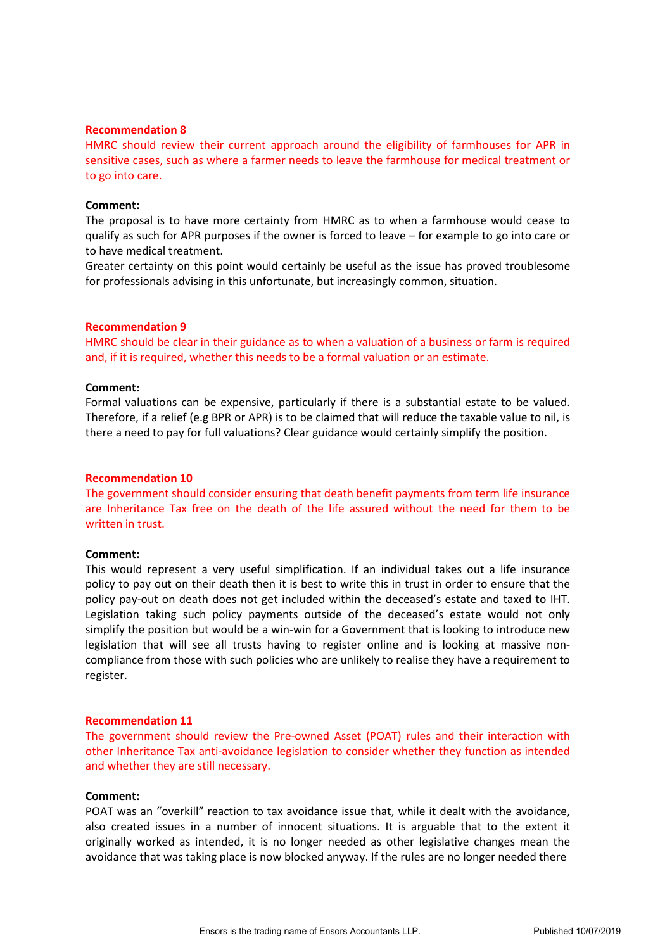#### **Recommendation 8**

HMRC should review their current approach around the eligibility of farmhouses for APR in sensitive cases, such as where a farmer needs to leave the farmhouse for medical treatment or to go into care.

#### **Comment:**

The proposal is to have more certainty from HMRC as to when a farmhouse would cease to qualify as such for APR purposes if the owner is forced to leave – for example to go into care or to have medical treatment.

Greater certainty on this point would certainly be useful as the issue has proved troublesome for professionals advising in this unfortunate, but increasingly common, situation.

#### **Recommendation 9**

HMRC should be clear in their guidance as to when a valuation of a business or farm is required and, if it is required, whether this needs to be a formal valuation or an estimate.

#### **Comment:**

Formal valuations can be expensive, particularly if there is a substantial estate to be valued. Therefore, if a relief (e.g BPR or APR) is to be claimed that will reduce the taxable value to nil, is there a need to pay for full valuations? Clear guidance would certainly simplify the position.

#### **Recommendation 10**

The government should consider ensuring that death benefit payments from term life insurance are Inheritance Tax free on the death of the life assured without the need for them to be written in trust.

#### **Comment:**

This would represent a very useful simplification. If an individual takes out a life insurance policy to pay out on their death then it is best to write this in trust in order to ensure that the policy pay-out on death does not get included within the deceased's estate and taxed to IHT. Legislation taking such policy payments outside of the deceased's estate would not only simplify the position but would be a win-win for a Government that is looking to introduce new legislation that will see all trusts having to register online and is looking at massive noncompliance from those with such policies who are unlikely to realise they have a requirement to register.

#### **Recommendation 11**

The government should review the Pre-owned Asset (POAT) rules and their interaction with other Inheritance Tax anti-avoidance legislation to consider whether they function as intended and whether they are still necessary.

#### **Comment:**

POAT was an "overkill" reaction to tax avoidance issue that, while it dealt with the avoidance, also created issues in a number of innocent situations. It is arguable that to the extent it originally worked as intended, it is no longer needed as other legislative changes mean the avoidance that was taking place is now blocked anyway. If the rules are no longer needed there